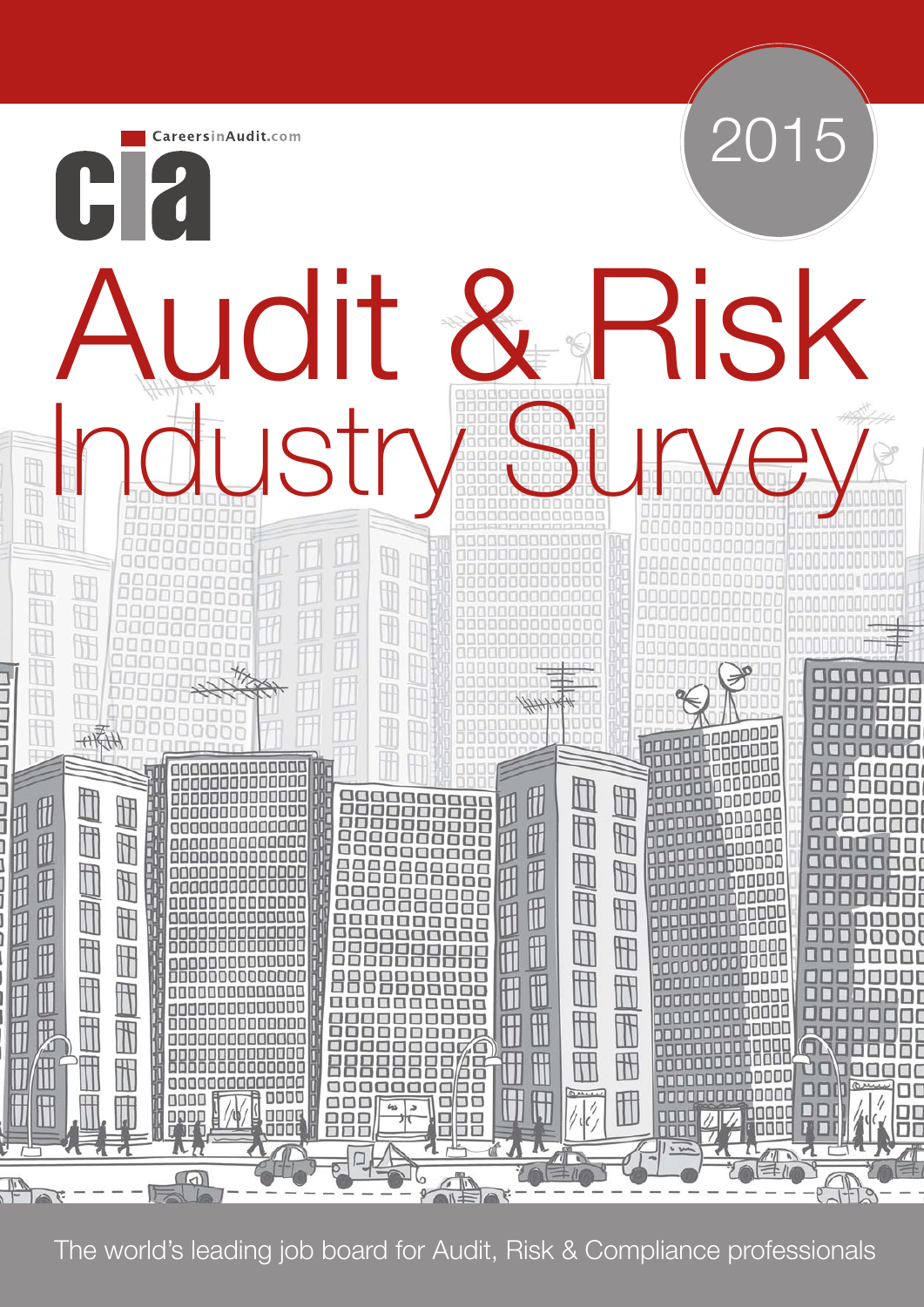

The world's leading job board for Audit, Risk & Compliance professionals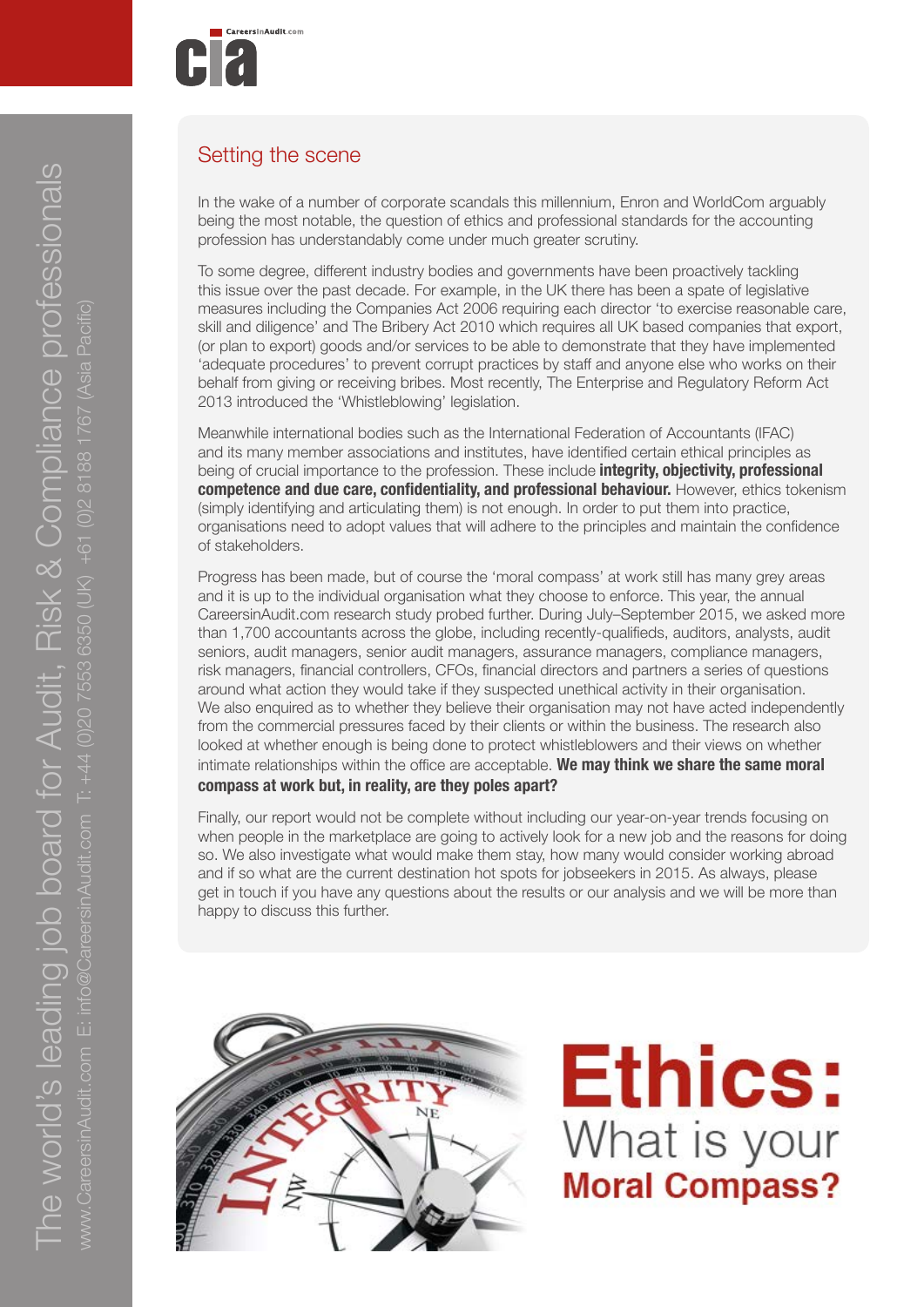

### Setting the scene

In the wake of a number of corporate scandals this millennium, Enron and WorldCom arguably being the most notable, the question of ethics and professional standards for the accounting profession has understandably come under much greater scrutiny.

To some degree, different industry bodies and governments have been proactively tackling this issue over the past decade. For example, in the UK there has been a spate of legislative measures including the Companies Act 2006 requiring each director 'to exercise reasonable care, skill and diligence' and The Bribery Act 2010 which requires all UK based companies that export, (or plan to export) goods and/or services to be able to demonstrate that they have implemented 'adequate procedures' to prevent corrupt practices by staff and anyone else who works on their behalf from giving or receiving bribes. Most recently, The Enterprise and Regulatory Reform Act 2013 introduced the 'Whistleblowing' legislation.

Meanwhile international bodies such as the International Federation of Accountants (IFAC) and its many member associations and institutes, have identified certain ethical principles as being of crucial importance to the profession. These include **integrity, objectivity, professional competence and due care, confidentiality, and professional behaviour.** However, ethics tokenism (simply identifying and articulating them) is not enough. In order to put them into practice, organisations need to adopt values that will adhere to the principles and maintain the confidence of stakeholders.

Progress has been made, but of course the 'moral compass' at work still has many grey areas and it is up to the individual organisation what they choose to enforce. This year, the annual CareersinAudit.com research study probed further. During July–September 2015, we asked more than 1,700 accountants across the globe, including recently-qualifieds, auditors, analysts, audit seniors, audit managers, senior audit managers, assurance managers, compliance managers, risk managers, financial controllers, CFOs, financial directors and partners a series of questions around what action they would take if they suspected unethical activity in their organisation. We also enquired as to whether they believe their organisation may not have acted independently from the commercial pressures faced by their clients or within the business. The research also looked at whether enough is being done to protect whistleblowers and their views on whether intimate relationships within the office are acceptable. **We may think we share the same moral compass at work but, in reality, are they poles apart?**

Finally, our report would not be complete without including our year-on-year trends focusing on when people in the marketplace are going to actively look for a new job and the reasons for doing so. We also investigate what would make them stay, how many would consider working abroad and if so what are the current destination hot spots for jobseekers in 2015. As always, please get in touch if you have any questions about the results or our analysis and we will be more than happy to discuss this further.



**Ethics:** What is your **Moral Compass?**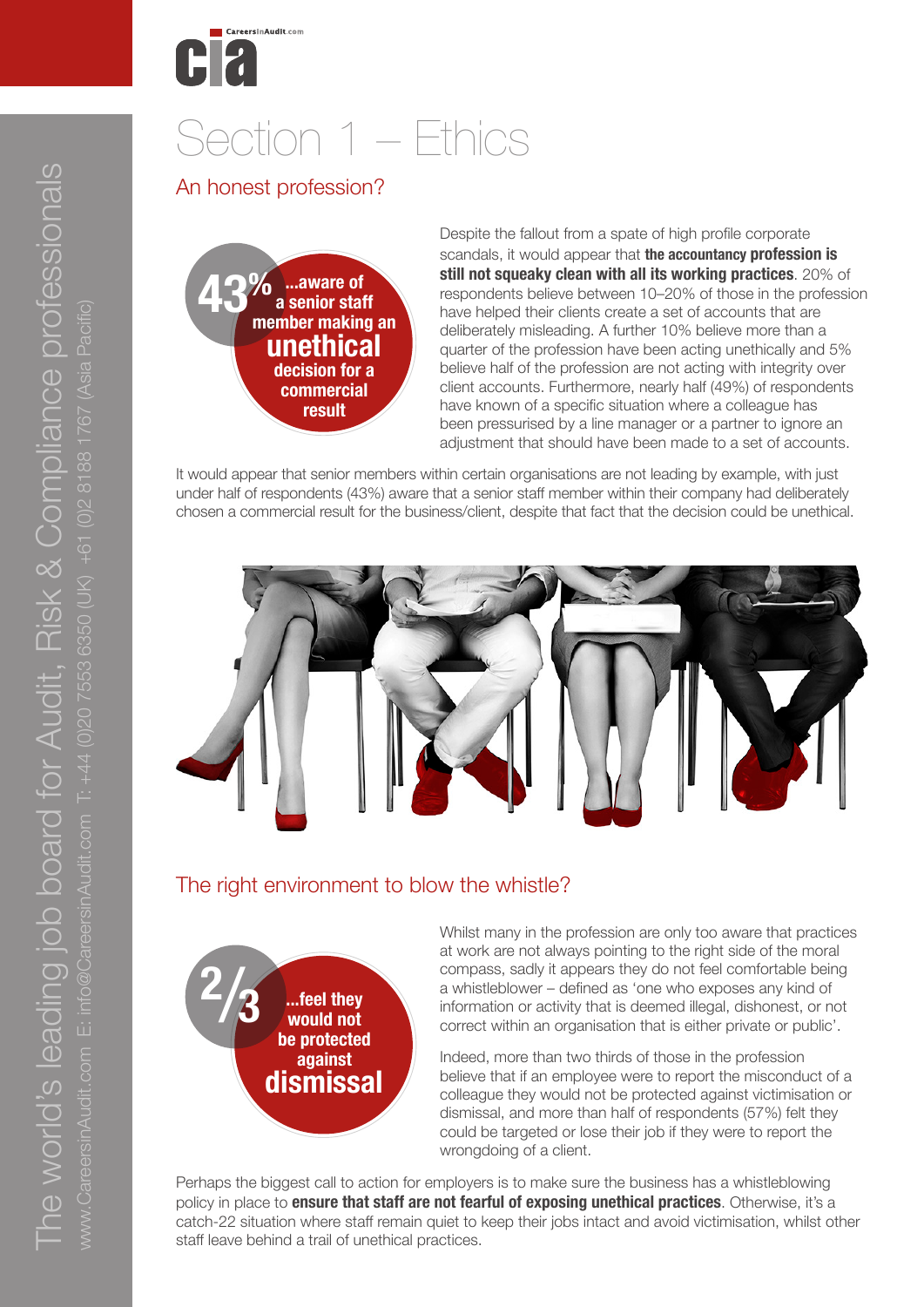

# Section 1 – Ethics

#### An honest profession?

**43% ...aware of a senior staff member making an unethical decision for a commercial result**

Despite the fallout from a spate of high profile corporate scandals, it would appear that **the accountancy profession is still not squeaky clean with all its working practices**. 20% of respondents believe between 10–20% of those in the profession have helped their clients create a set of accounts that are deliberately misleading. A further 10% believe more than a quarter of the profession have been acting unethically and 5% believe half of the profession are not acting with integrity over client accounts. Furthermore, nearly half (49%) of respondents have known of a specific situation where a colleague has been pressurised by a line manager or a partner to ignore an adjustment that should have been made to a set of accounts.

It would appear that senior members within certain organisations are not leading by example, with just under half of respondents (43%) aware that a senior staff member within their company had deliberately chosen a commercial result for the business/client, despite that fact that the decision could be unethical.



#### The right environment to blow the whistle?



Whilst many in the profession are only too aware that practices at work are not always pointing to the right side of the moral compass, sadly it appears they do not feel comfortable being a whistleblower – defined as 'one who exposes any kind of information or activity that is deemed illegal, dishonest, or not correct within an organisation that is either private or public'.

Indeed, more than two thirds of those in the profession believe that if an employee were to report the misconduct of a colleague they would not be protected against victimisation or dismissal, and more than half of respondents (57%) felt they could be targeted or lose their job if they were to report the wrongdoing of a client.

Perhaps the biggest call to action for employers is to make sure the business has a whistleblowing policy in place to **ensure that staff are not fearful of exposing unethical practices**. Otherwise, it's a catch-22 situation where staff remain quiet to keep their jobs intact and avoid victimisation, whilst other staff leave behind a trail of unethical practices.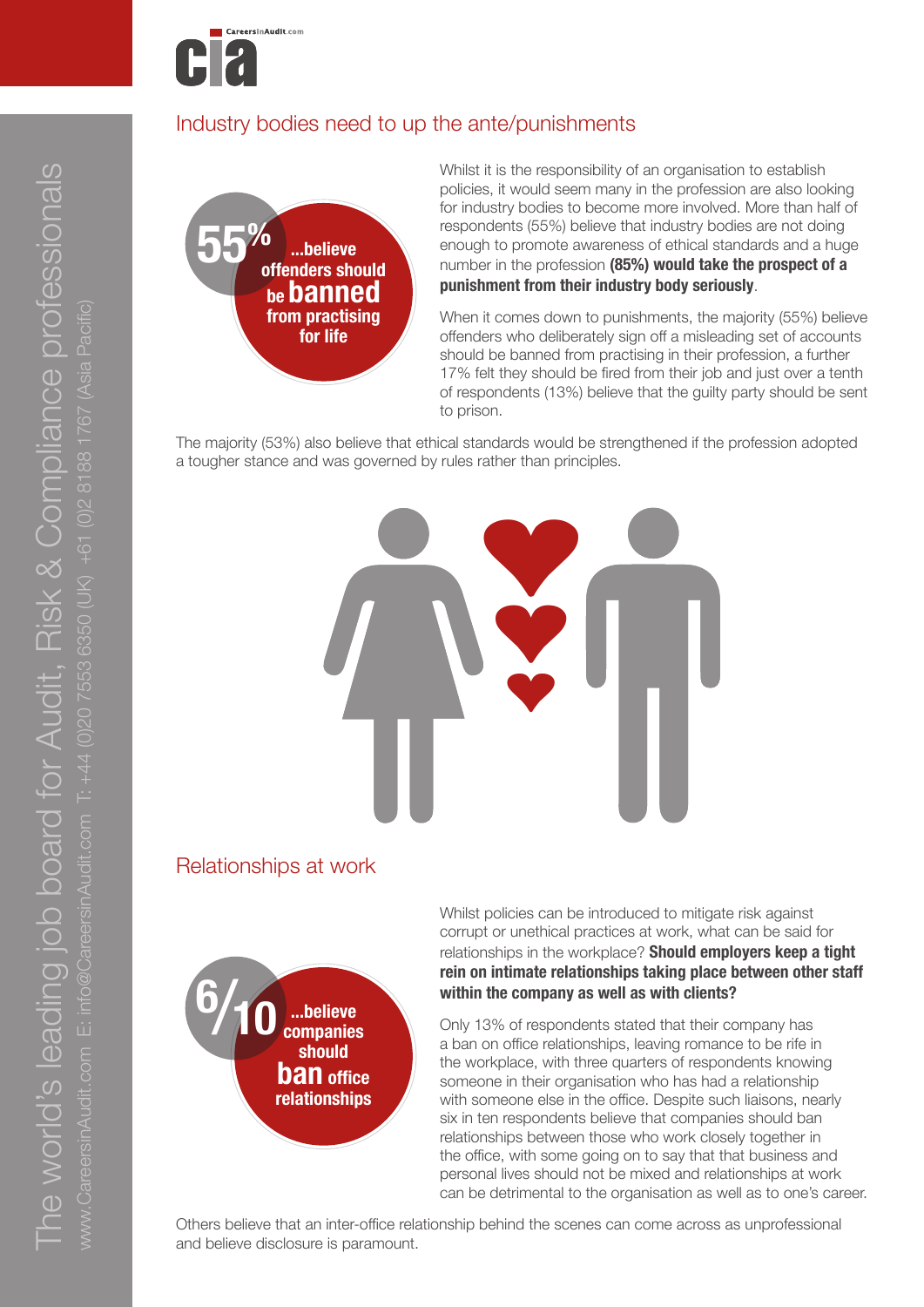

### Industry bodies need to up the ante/punishments



Whilst it is the responsibility of an organisation to establish policies, it would seem many in the profession are also looking for industry bodies to become more involved. More than half of respondents (55%) believe that industry bodies are not doing enough to promote awareness of ethical standards and a huge number in the profession **(85%) would take the prospect of a punishment from their industry body seriously**.

When it comes down to punishments, the majority (55%) believe offenders who deliberately sign off a misleading set of accounts should be banned from practising in their profession, a further 17% felt they should be fired from their job and just over a tenth of respondents (13%) believe that the guilty party should be sent to prison.

The majority (53%) also believe that ethical standards would be strengthened if the profession adopted a tougher stance and was governed by rules rather than principles.



#### Relationships at work



Whilst policies can be introduced to mitigate risk against corrupt or unethical practices at work, what can be said for relationships in the workplace? **Should employers keep a tight rein on intimate relationships taking place between other staff within the company as well as with clients?** 

Only 13% of respondents stated that their company has a ban on office relationships, leaving romance to be rife in the workplace, with three quarters of respondents knowing someone in their organisation who has had a relationship with someone else in the office. Despite such liaisons, nearly six in ten respondents believe that companies should ban relationships between those who work closely together in the office, with some going on to say that that business and personal lives should not be mixed and relationships at work can be detrimental to the organisation as well as to one's career.

Others believe that an inter-office relationship behind the scenes can come across as unprofessional and believe disclosure is paramount.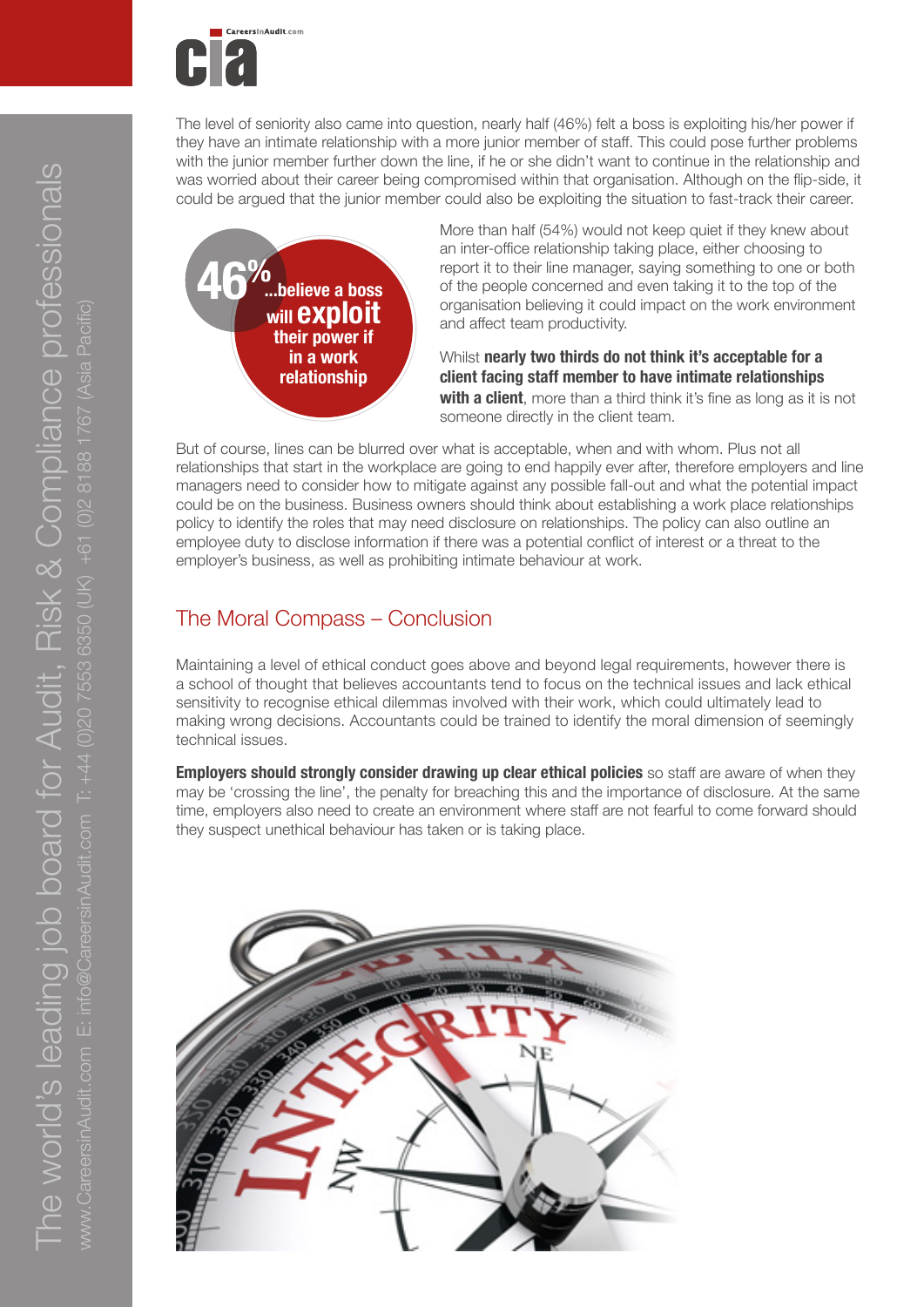

The level of seniority also came into question, nearly half (46%) felt a boss is exploiting his/her power if they have an intimate relationship with a more junior member of staff. This could pose further problems with the junior member further down the line, if he or she didn't want to continue in the relationship and was worried about their career being compromised within that organisation. Although on the flip-side, it could be argued that the junior member could also be exploiting the situation to fast-track their career.



More than half (54%) would not keep quiet if they knew about an inter-office relationship taking place, either choosing to report it to their line manager, saying something to one or both of the people concerned and even taking it to the top of the organisation believing it could impact on the work environment and affect team productivity.

Whilst **nearly two thirds do not think it's acceptable for a client facing staff member to have intimate relationships**  with a client, more than a third think it's fine as long as it is not someone directly in the client team.

But of course, lines can be blurred over what is acceptable, when and with whom. Plus not all relationships that start in the workplace are going to end happily ever after, therefore employers and line managers need to consider how to mitigate against any possible fall-out and what the potential impact could be on the business. Business owners should think about establishing a work place relationships policy to identify the roles that may need disclosure on relationships. The policy can also outline an employee duty to disclose information if there was a potential conflict of interest or a threat to the employer's business, as well as prohibiting intimate behaviour at work.

# The Moral Compass – Conclusion

Maintaining a level of ethical conduct goes above and beyond legal requirements, however there is a school of thought that believes accountants tend to focus on the technical issues and lack ethical sensitivity to recognise ethical dilemmas involved with their work, which could ultimately lead to making wrong decisions. Accountants could be trained to identify the moral dimension of seemingly technical issues.

**Employers should strongly consider drawing up clear ethical policies** so staff are aware of when they may be 'crossing the line', the penalty for breaching this and the importance of disclosure. At the same time, employers also need to create an environment where staff are not fearful to come forward should they suspect unethical behaviour has taken or is taking place.

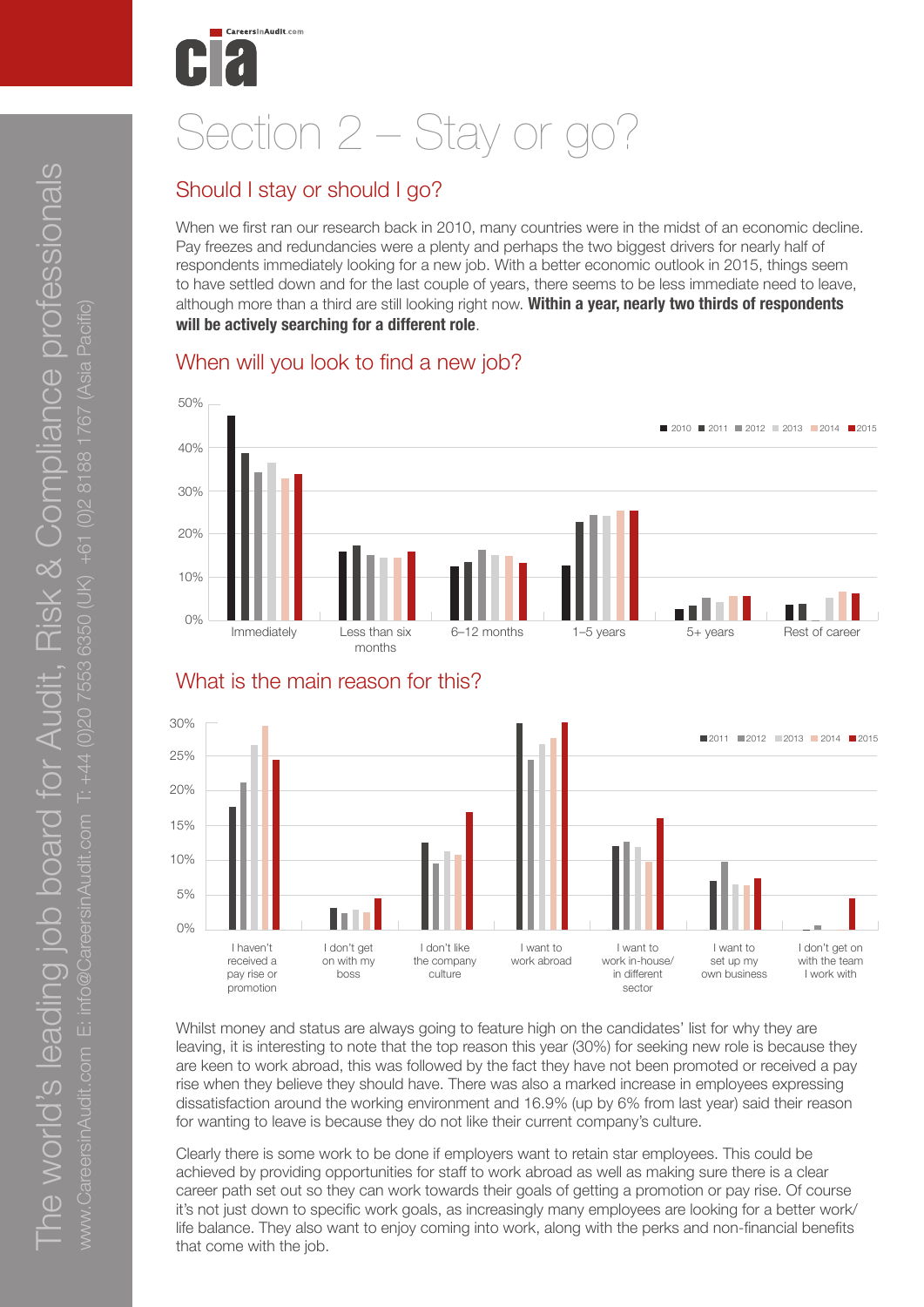# Section 2 – Stay or go?

# Should I stay or should I go?

When we first ran our research back in 2010, many countries were in the midst of an economic decline. Pay freezes and redundancies were a plenty and perhaps the two biggest drivers for nearly half of respondents immediately looking for a new job. With a better economic outlook in 2015, things seem to have settled down and for the last couple of years, there seems to be less immediate need to leave, although more than a third are still looking right now. **Within a year, nearly two thirds of respondents will be actively searching for a different role**.

### When will you look to find a new job?





Whilst money and status are always going to feature high on the candidates' list for why they are leaving, it is interesting to note that the top reason this year (30%) for seeking new role is because they 0 are keen to work abroad, this was followed by the fact they have not been promoted or received a pay rise when they believe they should have. There was also a marked increase in employees expressing dissatisfaction around the working environment and 16.9% (up by 6% from last year) said their reason for wanting to leave is because they do not like their current company's culture. 30

Clearly there is some work to be done if employers want to retain star employees. This could be achieved by providing opportunities for staff to work abroad as well as making sure there is a clear career path set out so they can work towards their goals of getting a promotion or pay rise. Of course 20 it's not just down to specific work goals, as increasingly many employees are looking for a better work/ it's not just down to specific work goals, as increasingly many employees are looking for a better work<br>life balance. They also want to enjoy coming into work, along with the perks and non-financial benefits that come with the job.

# What is the main reason for this?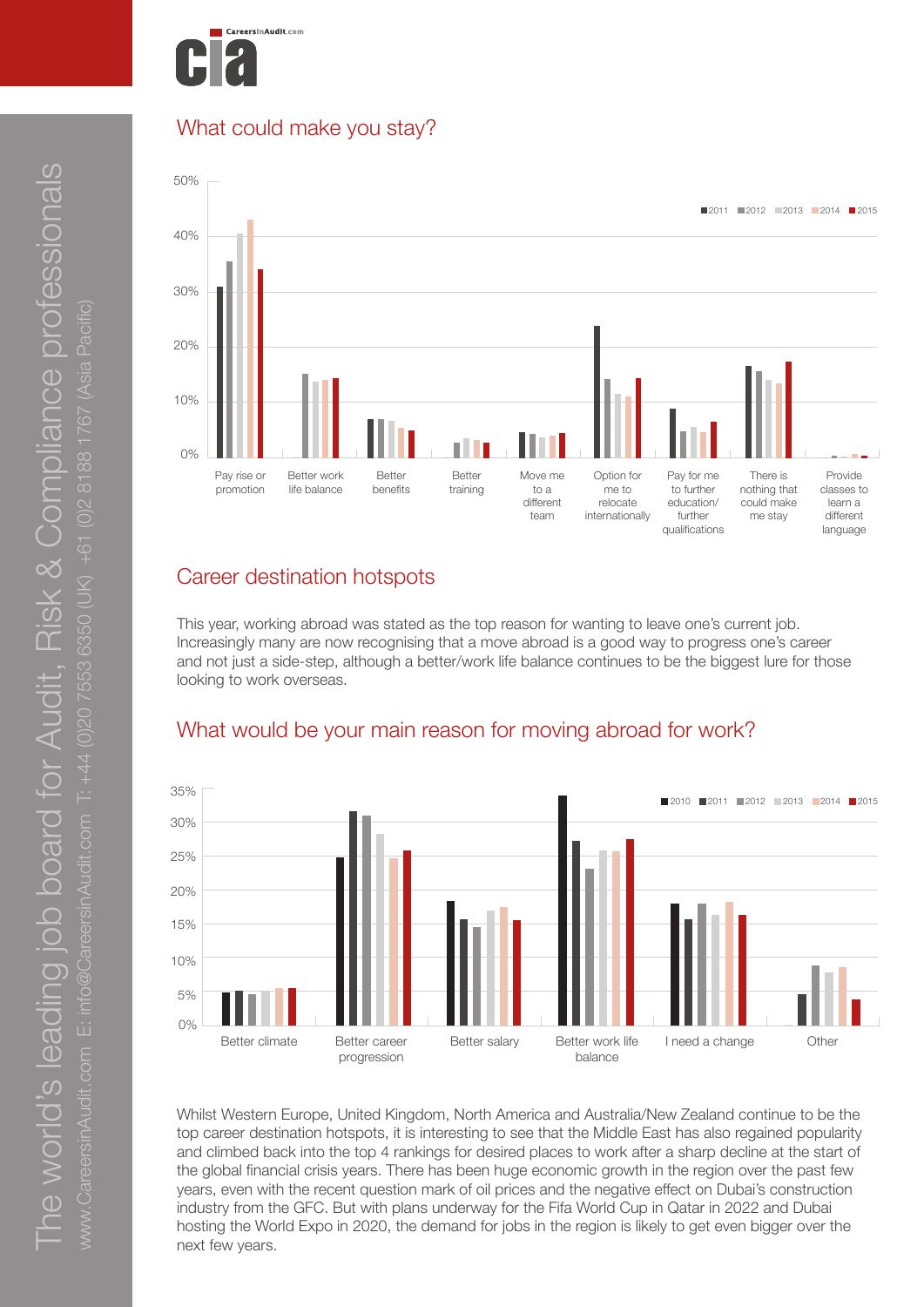

## What could make you stay?



# Career destination hotspots

This year, working abroad was stated as the top reason for wanting to leave one's current job.<br>
Horizonially many are now reasoning that a may a shund is a good way to gracing analogue Increasingly many are now recognising that a move abroad is a good way to progress one's career and not just a side-step, although a better/work life balance continues to be the biggest lure for those looking to work overseas.



Whilst Western Europe, United Kingdom, North America and Australia/New Zealand continue to be the top career destination hotspots, it is interesting to see that the Middle East has also regained popularity top career destination hotspots, it is interesting to see that the Middle East has also regained popularity and climbed back into the top 4 rankings for desired places to work after a sharp decline at the start of the global financial crisis years. There has been huge economic growth in the region over the past few the global financial crisis years. There has been huge economic growth in the region over the past few years, even with the recent question mark of oil prices and the negative effect on Dubai's construction years, even with the recent question mark or oil prices and the negative effect on Dubai's construction<br>Industry from the GFC. But with plans underway for the Fifa World Cup in Qatar in 2022 and Dubai hosting the World Expo in 2020, the demand for jobs in the region is likely to get even bigger over the 20 next few years.

# What would be your main reason for moving abroad for work?